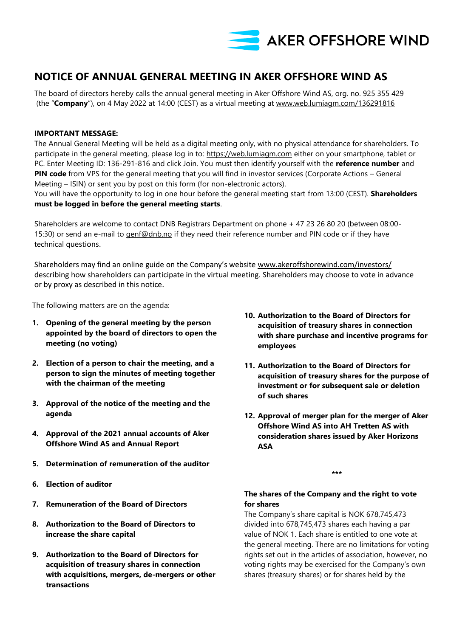

# **NOTICE OF ANNUAL GENERAL MEETING IN AKER OFFSHORE WIND AS**

The board of directors hereby calls the annual general meeting in Aker Offshore Wind AS, org. no. 925 355 429 (the "**Company**"), on 4 May 2022 at 14:00 (CEST) as a virtual meeting at [www.web.lumiagm.com/136291816](http://www.web.lumiagm.com/136291816)

## **IMPORTANT MESSAGE:**

The Annual General Meeting will be held as a digital meeting only, with no physical attendance for shareholders. To participate in the general meeting, please log in to: [https://web.lumiagm.com](https://web.lumiagm.com/) either on your smartphone, tablet or PC. Enter Meeting ID: 136-291-816 and click Join. You must then identify yourself with the **reference number** and **PIN code** from VPS for the general meeting that you will find in investor services (Corporate Actions – General Meeting – ISIN) or sent you by post on this form (for non-electronic actors).

You will have the opportunity to log in one hour before the general meeting start from 13:00 (CEST). **Shareholders must be logged in before the general meeting starts**.

Shareholders are welcome to contact DNB Registrars Department on phone + 47 23 26 80 20 (between 08:00- 15:30) or send an e-mail to *genf@dnb.no* if they need their reference number and PIN code or if they have technical questions.

Shareholders may find an online guide on the Company's website [www.akeroffshorewind.com/investors/](http://www.akeroffshorewind.com/investors/) describing how shareholders can participate in the virtual meeting. Shareholders may choose to vote in advance or by proxy as described in this notice.

The following matters are on the agenda:

- **1. Opening of the general meeting by the person appointed by the board of directors to open the meeting (no voting)**
- **2. Election of a person to chair the meeting, and a person to sign the minutes of meeting together with the chairman of the meeting**
- **3. Approval of the notice of the meeting and the agenda**
- **4. Approval of the 2021 annual accounts of Aker Offshore Wind AS and Annual Report**
- **5. Determination of remuneration of the auditor**
- **6. Election of auditor**
- **7. Remuneration of the Board of Directors**
- **8. Authorization to the Board of Directors to increase the share capital**
- **9. Authorization to the Board of Directors for acquisition of treasury shares in connection with acquisitions, mergers, de-mergers or other transactions**
- **10. Authorization to the Board of Directors for acquisition of treasury shares in connection with share purchase and incentive programs for employees**
- **11. Authorization to the Board of Directors for acquisition of treasury shares for the purpose of investment or for subsequent sale or deletion of such shares**
- **12. Approval of merger plan for the merger of Aker Offshore Wind AS into AH Tretten AS with consideration shares issued by Aker Horizons ASA**

**\*\*\***

## **The shares of the Company and the right to vote for shares**

The Company's share capital is NOK 678,745,473 divided into 678,745,473 shares each having a par value of NOK 1. Each share is entitled to one vote at the general meeting. There are no limitations for voting rights set out in the articles of association, however, no voting rights may be exercised for the Company's own shares (treasury shares) or for shares held by the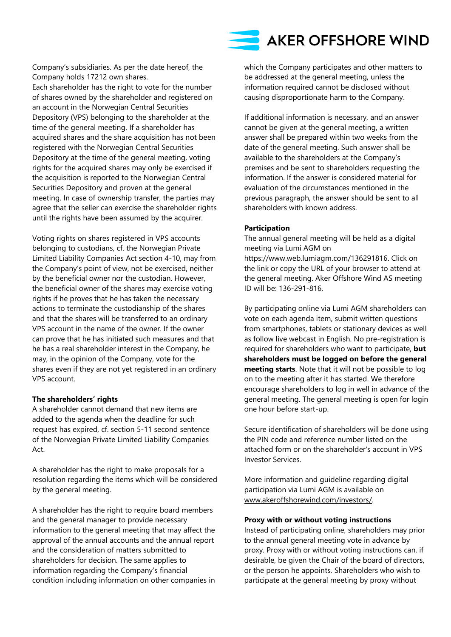Company's subsidiaries. As per the date hereof, the Company holds 17212 own shares. Each shareholder has the right to vote for the number of shares owned by the shareholder and registered on an account in the Norwegian Central Securities Depository (VPS) belonging to the shareholder at the time of the general meeting. If a shareholder has acquired shares and the share acquisition has not been registered with the Norwegian Central Securities Depository at the time of the general meeting, voting rights for the acquired shares may only be exercised if the acquisition is reported to the Norwegian Central Securities Depository and proven at the general meeting. In case of ownership transfer, the parties may agree that the seller can exercise the shareholder rights until the rights have been assumed by the acquirer.

Voting rights on shares registered in VPS accounts belonging to custodians, cf. the Norwegian Private Limited Liability Companies Act section 4-10, may from the Company's point of view, not be exercised, neither by the beneficial owner nor the custodian. However, the beneficial owner of the shares may exercise voting rights if he proves that he has taken the necessary actions to terminate the custodianship of the shares and that the shares will be transferred to an ordinary VPS account in the name of the owner. If the owner can prove that he has initiated such measures and that he has a real shareholder interest in the Company, he may, in the opinion of the Company, vote for the shares even if they are not yet registered in an ordinary VPS account.

## **The shareholders' rights**

A shareholder cannot demand that new items are added to the agenda when the deadline for such request has expired, cf. section 5-11 second sentence of the Norwegian Private Limited Liability Companies Act.

A shareholder has the right to make proposals for a resolution regarding the items which will be considered by the general meeting.

A shareholder has the right to require board members and the general manager to provide necessary information to the general meeting that may affect the approval of the annual accounts and the annual report and the consideration of matters submitted to shareholders for decision. The same applies to information regarding the Company's financial condition including information on other companies in which the Company participates and other matters to be addressed at the general meeting, unless the information required cannot be disclosed without causing disproportionate harm to the Company.

If additional information is necessary, and an answer cannot be given at the general meeting, a written answer shall be prepared within two weeks from the date of the general meeting. Such answer shall be available to the shareholders at the Company's premises and be sent to shareholders requesting the information. If the answer is considered material for evaluation of the circumstances mentioned in the previous paragraph, the answer should be sent to all shareholders with known address.

#### **Participation**

The annual general meeting will be held as a digital meeting via Lumi AGM on https://www.web.lumiagm.com/136291816. Click on the link or copy the URL of your browser to attend at the general meeting. Aker Offshore Wind AS meeting ID will be: 136-291-816.

By participating online via Lumi AGM shareholders can vote on each agenda item, submit written questions from smartphones, tablets or stationary devices as well as follow live webcast in English. No pre-registration is required for shareholders who want to participate, **but shareholders must be logged on before the general meeting starts**. Note that it will not be possible to log on to the meeting after it has started. We therefore encourage shareholders to log in well in advance of the general meeting. The general meeting is open for login one hour before start-up.

Secure identification of shareholders will be done using the PIN code and reference number listed on the attached form or on the shareholder's account in VPS Investor Services.

More information and guideline regarding digital participation via Lumi AGM is available on [www.akeroffshorewind.com/investors/.](http://www.akeroffshorewind.com/investors/)

#### **Proxy with or without voting instructions**

Instead of participating online, shareholders may prior to the annual general meeting vote in advance by proxy. Proxy with or without voting instructions can, if desirable, be given the Chair of the board of directors, or the person he appoints. Shareholders who wish to participate at the general meeting by proxy without